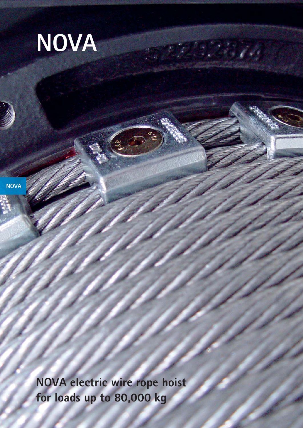

**NOVA**

**NOVA electric wire rope hoist for loads up to 80,000 kg**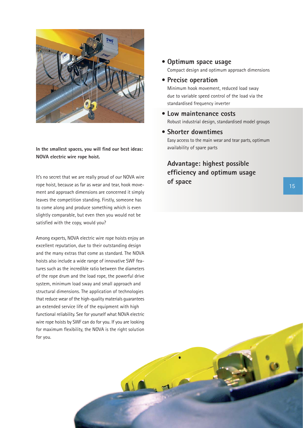

**In the smallest spaces, you will find our best ideas: NOVA electric wire rope hoist.**

It's no secret that we are really proud of our NOVA wire<br>**of space** rope hoist, because as far as wear and tear, hook movement and approach dimensions are concerned it simply leaves the competition standing. Firstly, someone has to come along and produce something which is even slightly comparable, but even then you would not be satisfied with the copy, would you?

Among experts, NOVA electric wire rope hoists enjoy an excellent reputation, due to their outstanding design and the many extras that come as standard. The NOVA hoists also include a wide range of innovative SWF features such as the incredible ratio between the diameters of the rope drum and the load rope, the powerful drive system, minimum load sway and small approach and structural dimensions. The application of technologies that reduce wear of the high-quality materials guarantees an extended service life of the equipment with high functional reliability. See for yourself what NOVA electric wire rope hoists by SWF can do for you. If you are looking for maximum flexibility, the NOVA is the right solution for you.

#### **• Optimum space usage**

Compact design and optimum approach dimensions

#### **• Precise operation**

Minimum hook movement, reduced load sway due to variable speed control of the load via the standardised frequency inverter

- **Low maintenance costs** Robust industrial design, standardised model groups
- **Shorter downtimes** Easy access to the main wear and tear parts, optimum availability of spare parts

## **Advantage: highest possible efficiency and optimum usage**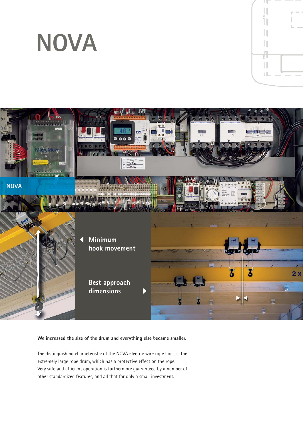# **NOVA**



П uL.

**We increased the size of the drum and everything else became smaller.**

The distinguishing characteristic of the NOVA electric wire rope hoist is the extremely large rope drum, which has a protective effect on the rope. Very safe and efficient operation is furthermore guaranteed by a number of other standardized features, and all that for only a small investment.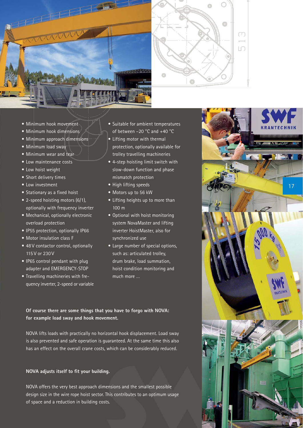



- Minimum hook movement
- Minimum hook dimensions
- Minimum approach dimensions
- Minimum load sway
- Minimum wear and tear
- Low maintenance costs
- Low hoist weight
- Short delivery times
- Low investment
- Stationary as a fixed hoist
- 2-speed hoisting motors (6/1), optionally with frequency inverter
- Mechanical, optionally electronic overload protection
- IP55 protection, optionally IP66
- Motor insulation class F
- 48 V contactor control, optionally 115 V or 230 V
- IP65 control pendant with plug adapter and EMERGENCY-STOP
- Travelling machineries with frequency inverter, 2-speed or variable
- Suitable for ambient temperatures of between –20 °C and +40 °C
- Lifting motor with thermal protection, optionally available for trolley travelling machineries
- 4-step hoisting limit switch with slow-down function and phase mismatch protection
- High lifting speeds
- Motors up to 56 kW
- Lifting heights up to more than 100 m
- Optional with hoist monitoring system NovaMaster and lifting inverter HoistMaster, also for synchronized use
- Large number of special options, such as: articulated trolley, drum brake, load summation, hoist condition monitoring and much more …

**Of course there are some things that you have to forgo with NOVA: for example load sway and hook movement.**

NOVA lifts loads with practically no horizontal hook displacement. Load sway is also prevented and safe operation is guaranteed. At the same time this also has an effect on the overall crane costs, which can be considerably reduced.

#### **NOVA adjusts itself to fit your building.**

NOVA offers the very best approach dimensions and the smallest possible design size in the wire rope hoist sector. This contributes to an optimum usage of space and a reduction in building costs.

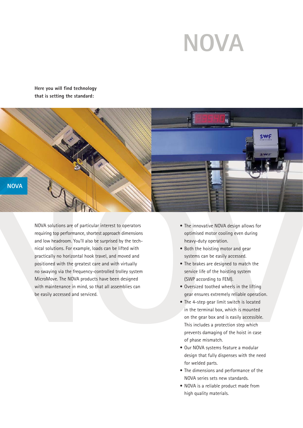# **NOVA**

**Here you will find technology that is setting the standard:**



NOVA solutions are of particular interest to operators requiring top performance, shortest approach dimensions and low headroom. You'll also be surprised by the technical solutions. For example, loads can be lifted with practically no horizontal hook travel, and moved and positioned with the greatest care and with virtually no swaying via the frequency-controlled trolley system MicroMove. The NOVA products have been designed with maintenance in mind, so that all assemblies can be easily accessed and serviced.

- The innovative NOVA design allows for optimised motor cooling even during heavy-duty operation.
- Both the hoisting motor and gear systems can be easily accessed.
- The brakes are designed to match the service life of the hoisting system (SWP according to FEM).
- Oversized toothed wheels in the lifting gear ensures extremely reliable operation.
- The 4-step gear limit switch is located in the terminal box, which is mounted on the gear box and is easily accessible. This includes a protection step which prevents damaging of the hoist in case of phase mismatch.
- Our NOVA systems feature a modular design that fully dispenses with the need for welded parts.
- The dimensions and performance of the NOVA series sets new standards.
- NOVA is a reliable product made from high quality materials.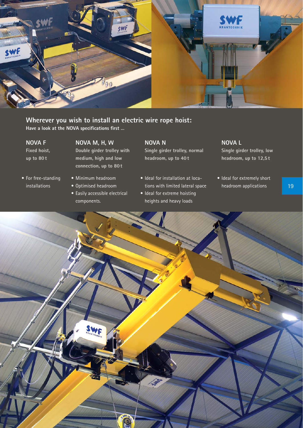

### **Wherever you wish to install an electric wire rope hoist:**

**Have a look at the NOVA specifications first …**

#### **NOVA F**

**Fixed hoist, up to 80 t**

• For free-standing installations

### **NOVA M, H, W**

**Double girder trolley with medium, high and low connection, up to 80 t**

- Minimum headroom
- Optimised headroom
- Easily accessible electrical components.

### **NOVA N**

**Single girder trolley, normal headroom, up to 40 t**

- Ideal for installation at locations with limited lateral space
- Ideal for extreme hoisting heights and heavy loads

#### **NOVA L**

**Single girder trolley, low headroom, up to 12,5 t**

• Ideal for extremely short headroom applications



19